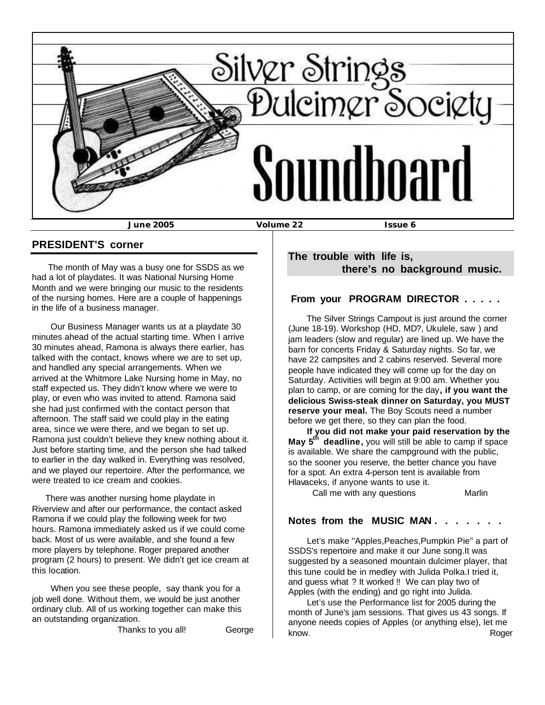

### **PRESIDENT'S corner**

 The month of May was a busy one for SSDS as we had a lot of playdates. It was National Nursing Home Month and we were bringing our music to the residents of the nursing homes. Here are a couple of happenings in the life of a business manager.

 Our Business Manager wants us at a playdate 30 minutes ahead of the actual starting time. When I arrive 30 minutes ahead, Ramona is always there earlier, has talked with the contact, knows where we are to set up, and handled any special arrangements. When we arrived at the Whitmore Lake Nursing home in May, no staff expected us. They didn't know where we were to play, or even who was invited to attend. Ramona said she had just confirmed with the contact person that afternoon. The staff said we could play in the eating area, since we were there, and we began to set up. Ramona just couldn't believe they knew nothing about it. Just before starting time, and the person she had talked to earlier in the day walked in. Everything was resolved, and we played our repertoire. After the performance, we were treated to ice cream and cookies.

 There was another nursing home playdate in Riverview and after our performance, the contact asked Ramona if we could play the following week for two hours. Ramona immediately asked us if we could come back. Most of us were available, and she found a few more players by telephone. Roger prepared another program (2 hours) to present. We didn't get ice cream at this location.

 When you see these people, say thank you for a job well done. Without them, we would be just another ordinary club. All of us working together can make this an outstanding organization.

Thanks to you all! George

## **The trouble with life is, there's no background music.**

### **From your PROGRAM DIRECTOR . . . . .**

 The Silver Strings Campout is just around the corner (June 18-19). Workshop (HD, MD?, Ukulele, saw ) and jam leaders (slow and regular) are lined up. We have the barn for concerts Friday & Saturday nights. So far, we have 22 campsites and 2 cabins reserved. Several more people have indicated they will come up for the day on Saturday. Activities will begin at 9:00 am. Whether you plan to camp, or are coming for the day**, if you want the delicious Swiss-steak dinner on Saturday, you MUST reserve your meal.** The Boy Scouts need a number before we get there, so they can plan the food.

 **If you did not make your paid reservation by the May 5th deadline,** you will still be able to camp if space is available. We share the campground with the public, so the sooner you reserve, the better chance you have for a spot. An extra 4-person tent is available from Hlavaceks, if anyone wants to use it.

Call me with any questions Marlin

#### **Notes from the MUSIC MAN . . . . . . .**

 Let's make "Apples,Peaches,Pumpkin Pie" a part of SSDS's repertoire and make it our June song.It was suggested by a seasoned mountain dulcimer player, that this tune could be in medley with Julida Polka.I tried it, and guess what ? It worked !! We can play two of Apples (with the ending) and go right into Julida.

 Let's use the Performance list for 2005 during the month of June's jam sessions. That gives us 43 songs. If anyone needs copies of Apples (or anything else), let me know. The contraction of the contraction of the contraction of the contraction of the contraction of the contraction of the contraction of the contraction of the contraction of the contraction of the contraction of the con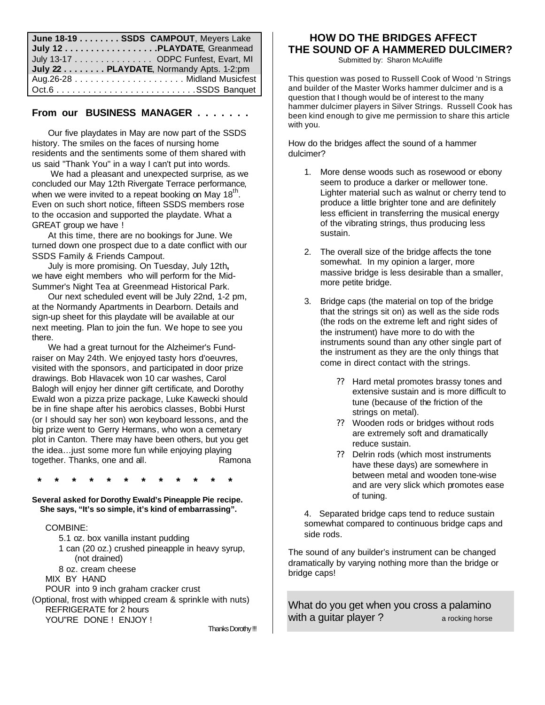| June 18-19 SSDS CAMPOUT, Meyers Lake    |
|-----------------------------------------|
| July 12 PLAYDATE, Greanmead             |
| July 13-17 ODPC Funfest, Evart, MI      |
| July 22 PLAYDATE, Normandy Apts. 1-2:pm |
|                                         |
|                                         |

#### **From our BUSINESS MANAGER . . . . . . .**

 Our five playdates in May are now part of the SSDS history. The smiles on the faces of nursing home residents and the sentiments some of them shared with us said "Thank You" in a way I can't put into words.

 We had a pleasant and unexpected surprise, as we concluded our May 12th Rivergate Terrace performance, when we were invited to a repeat booking on May  $18<sup>th</sup>$ . Even on such short notice, fifteen SSDS members rose to the occasion and supported the playdate. What a GREAT group we have !

 At this time, there are no bookings for June. We turned down one prospect due to a date conflict with our SSDS Family & Friends Campout.

 July is more promising. On Tuesday, July 12th**,** we have eight members who will perform for the Mid-Summer's Night Tea at Greenmead Historical Park.

 Our next scheduled event will be July 22nd, 1-2 pm, at the Normandy Apartments in Dearborn. Details and sign-up sheet for this playdate will be available at our next meeting. Plan to join the fun. We hope to see you there.

 We had a great turnout for the Alzheimer's Fundraiser on May 24th. We enjoyed tasty hors d'oeuvres, visited with the sponsors, and participated in door prize drawings. Bob Hlavacek won 10 car washes, Carol Balogh will enjoy her dinner gift certificate, and Dorothy Ewald won a pizza prize package, Luke Kawecki should be in fine shape after his aerobics classes, Bobbi Hurst (or I should say her son) won keyboard lessons, and the big prize went to Gerry Hermans, who won a cemetary plot in Canton. There may have been others, but you get the idea…just some more fun while enjoying playing together. Thanks, one and all. The Ramona

 **\* \* \* \* \* \* \* \* \* \* \* \***

**Several asked for Dorothy Ewald's Pineapple Pie recipe. She says, "It's so simple, it's kind of embarrassing".**

#### COMBINE:

 5.1 oz. box vanilla instant pudding 1 can (20 oz.) crushed pineapple in heavy syrup, (not drained) 8 oz. cream cheese MIX BY HAND POUR into 9 inch graham cracker crust (Optional, frost with whipped cream & sprinkle with nuts) REFRIGERATE for 2 hours YOU"RE DONE ! ENJOY ! Thanks Dorothy !!!

 **HOW DO THE BRIDGES AFFECT THE SOUND OF A HAMMERED DULCIMER?**

Submitted by: Sharon McAuliffe

This question was posed to Russell Cook of Wood 'n Strings and builder of the Master Works hammer dulcimer and is a question that I though would be of interest to the many hammer dulcimer players in Silver Strings. Russell Cook has been kind enough to give me permission to share this article with you.

How do the bridges affect the sound of a hammer dulcimer?

- 1. More dense woods such as rosewood or ebony seem to produce a darker or mellower tone. Lighter material such as walnut or cherry tend to produce a little brighter tone and are definitely less efficient in transferring the musical energy of the vibrating strings, thus producing less sustain.
- 2. The overall size of the bridge affects the tone somewhat. In my opinion a larger, more massive bridge is less desirable than a smaller, more petite bridge.
- 3. Bridge caps (the material on top of the bridge that the strings sit on) as well as the side rods (the rods on the extreme left and right sides of the instrument) have more to do with the instruments sound than any other single part of the instrument as they are the only things that come in direct contact with the strings.
	- ?? Hard metal promotes brassy tones and extensive sustain and is more difficult to tune (because of the friction of the strings on metal).
	- ?? Wooden rods or bridges without rods are extremely soft and dramatically reduce sustain.
	- ?? Delrin rods (which most instruments have these days) are somewhere in between metal and wooden tone-wise and are very slick which promotes ease of tuning.

4. Separated bridge caps tend to reduce sustain somewhat compared to continuous bridge caps and side rods.

The sound of any builder's instrument can be changed dramatically by varying nothing more than the bridge or bridge caps!

What do you get when you cross a palamino with a quitar player ?  $\frac{1}{2}$  a rocking horse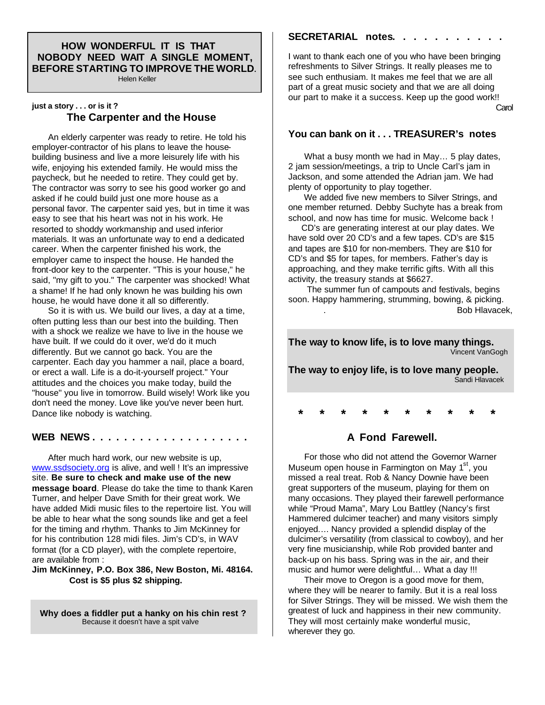#### **HOW WONDERFUL IT IS THAT NOBODY NEED WAIT A SINGLE MOMENT, BEFORE STARTING TO IMPROVE THE WORLD.**

Helen Keller

#### **just a story . . . or is it ? The Carpenter and the House**

 An elderly carpenter was ready to retire. He told his employer-contractor of his plans to leave the housebuilding business and live a more leisurely life with his wife, enjoying his extended family. He would miss the paycheck, but he needed to retire. They could get by. The contractor was sorry to see his good worker go and asked if he could build just one more house as a personal favor. The carpenter said yes, but in time it was easy to see that his heart was not in his work. He resorted to shoddy workmanship and used inferior materials. It was an unfortunate way to end a dedicated career. When the carpenter finished his work, the employer came to inspect the house. He handed the front-door key to the carpenter. "This is your house," he said, "my gift to you." The carpenter was shocked! What a shame! If he had only known he was building his own house, he would have done it all so differently.

 So it is with us. We build our lives, a day at a time, often putting less than our best into the building. Then with a shock we realize we have to live in the house we have built. If we could do it over, we'd do it much differently. But we cannot go back. You are the carpenter. Each day you hammer a nail, place a board, or erect a wall. Life is a do-it-yourself project." Your attitudes and the choices you make today, build the "house" you live in tomorrow. Build wisely! Work like you don't need the money. Love like you've never been hurt. Dance like nobody is watching.

#### **WEB NEWS . . . . . . . . . . . . . . . . . . . .**

 After much hard work, our new website is up, www.ssdsociety.org is alive, and well ! It's an impressive site. **Be sure to check and make use of the new message board**. Please do take the time to thank Karen Turner, and helper Dave Smith for their great work. We have added Midi music files to the repertoire list. You will be able to hear what the song sounds like and get a feel for the timing and rhythm. Thanks to Jim McKinney for for his contribution 128 midi files. Jim's CD's, in WAV format (for a CD player), with the complete repertoire, are available from :

#### **Jim McKinney, P.O. Box 386, New Boston, Mi. 48164. Cost is \$5 plus \$2 shipping.**

 **Why does a fiddler put a hanky on his chin rest ?**  Because it doesn't have a spit valve

#### **SECRETARIAL notes. . . . . . . . . . .**

I want to thank each one of you who have been bringing refreshments to Silver Strings. It really pleases me to see such enthusiam. It makes me feel that we are all part of a great music society and that we are all doing our part to make it a success. Keep up the good work!!

**Carol Carol** Carol Carol Carol Carol Carol Carol Carol Carol Carol Carol Carol Carol Carol Carol Carol Carol Carol

## **You can bank on it . . . TREASURER's notes**

 What a busy month we had in May… 5 play dates, 2 jam session/meetings, a trip to Uncle Carl's jam in Jackson, and some attended the Adrian jam. We had plenty of opportunity to play together.

We added five new members to Silver Strings, and one member returned. Debby Suchyte has a break from school, and now has time for music. Welcome back !

 CD's are generating interest at our play dates. We have sold over 20 CD's and a few tapes. CD's are \$15 and tapes are \$10 for non-members. They are \$10 for CD's and \$5 for tapes, for members. Father's day is approaching, and they make terrific gifts. With all this activity, the treasury stands at \$6627.

 The summer fun of campouts and festivals, begins soon. Happy hammering, strumming, bowing, & picking. . Bob Hlavacek,

**The way to know life, is to love many things.** Vincent VanGogh

**The way to enjoy life, is to love many people.** Sandi Hlavacek

 **\* \* \* \* \* \* \* \* \* \***

#### **A Fond Farewell.**

 For those who did not attend the Governor Warner Museum open house in Farmington on May 1<sup>st</sup>, you missed a real treat. Rob & Nancy Downie have been great supporters of the museum, playing for them on many occasions. They played their farewell performance while "Proud Mama", Mary Lou Battley (Nancy's first Hammered dulcimer teacher) and many visitors simply enjoyed.... Nancy provided a splendid display of the dulcimer's versatility (from classical to cowboy), and her very fine musicianship, while Rob provided banter and back-up on his bass. Spring was in the air, and their music and humor were delightful… What a day !!!

 Their move to Oregon is a good move for them, where they will be nearer to family. But it is a real loss for Silver Strings. They will be missed. We wish them the greatest of luck and happiness in their new community. They will most certainly make wonderful music, wherever they go.